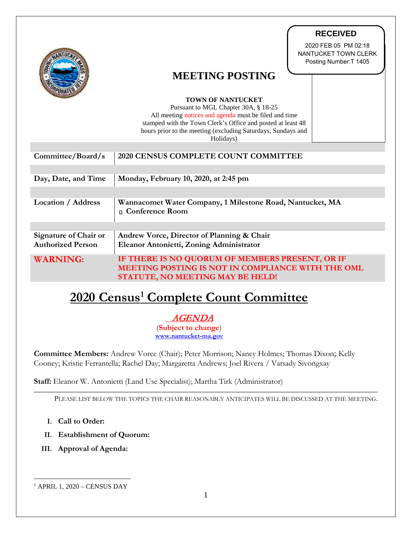|                                                          | <b>RECEIVED</b>                                                                                                                                                                                                                                                       |
|----------------------------------------------------------|-----------------------------------------------------------------------------------------------------------------------------------------------------------------------------------------------------------------------------------------------------------------------|
|                                                          | 2020 FEB 05 PM 02:18<br>NANTUCKET TOWN CLERK<br>Posting Number: T 1405<br><b>MEETING POSTING</b>                                                                                                                                                                      |
|                                                          |                                                                                                                                                                                                                                                                       |
|                                                          | <b>TOWN OF NANTUCKET</b><br>Pursuant to MGL Chapter 30A, § 18-25<br>All meeting notices and agenda must be filed and time<br>stamped with the Town Clerk's Office and posted at least 48<br>hours prior to the meeting (excluding Saturdays, Sundays and<br>Holidays) |
| Committee/Board/s                                        | 2020 CENSUS COMPLETE COUNT COMMITTEE                                                                                                                                                                                                                                  |
| Day, Date, and Time                                      | Monday, February 10, 2020, at 2:45 pm                                                                                                                                                                                                                                 |
| <b>Location / Address</b>                                | Wannacomet Water Company, 1 Milestone Road, Nantucket, MA<br>n Conference Room                                                                                                                                                                                        |
| <b>Signature of Chair or</b><br><b>Authorized Person</b> | Andrew Vorce, Director of Planning & Chair<br>Eleanor Antonietti, Zoning Administrator                                                                                                                                                                                |
| <b>WARNING:</b>                                          | IF THERE IS NO QUORUM OF MEMBERS PRESENT, OR IF<br>MEETING POSTING IS NOT IN COMPLIANCE WITH THE OML<br>STATUTE, NO MEETING MAY BE HELD!                                                                                                                              |
|                                                          | <u>2020 Census<sup>1</sup> Complete Count Committee</u>                                                                                                                                                                                                               |
|                                                          | <i>AGENDA</i><br>(Subject to change)<br>www.nantucket-ma.gov                                                                                                                                                                                                          |
|                                                          | <b>Committee Members:</b> Andrew Vorce (Chair); Peter Morrison; Nancy Holmes; Thomas Dixon; Kelly<br>Cooney; Kristie Ferrantella; Rachel Day; Margaretta Andrews; Joel Rivera / Vatsady Sivongxay                                                                     |
|                                                          | Staff: Eleanor W. Antonietti (Land Use Specialist); Martha Tirk (Administrator)                                                                                                                                                                                       |
|                                                          | PLEASE LIST BELOW THE TOPICS THE CHAIR REASONABLY ANTICIPATES WILL BE DISCUSSED AT THE MEETING.                                                                                                                                                                       |
| Call to Order:<br>Ι.                                     |                                                                                                                                                                                                                                                                       |
| <b>Establishment of Quorum:</b><br>II.                   |                                                                                                                                                                                                                                                                       |
| III. Approval of Agenda:                                 |                                                                                                                                                                                                                                                                       |
|                                                          |                                                                                                                                                                                                                                                                       |
| $1$ APRIL 1, 2020 – CENSUS DAY                           |                                                                                                                                                                                                                                                                       |

# **2020 Census[1](#page-0-0) Complete Count Committee**

- **I. Call to Order:**
- **II. Establishment of Quorum:**
- <span id="page-0-0"></span>**III. Approval of Agenda:**